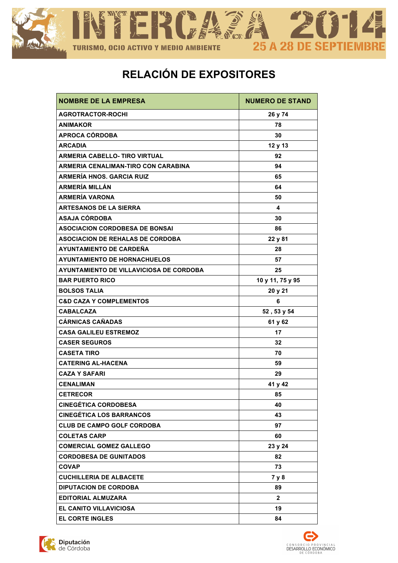

## **RELACIÓN DE EXPOSITORES**

| <b>NOMBRE DE LA EMPRESA</b>             | <b>NUMERO DE STAND</b> |
|-----------------------------------------|------------------------|
| <b>AGROTRACTOR-ROCHI</b>                | 26 y 74                |
| <b>ANIMAKOR</b>                         | 78                     |
| <b>APROCA CÓRDOBA</b>                   | 30                     |
| <b>ARCADIA</b>                          | 12 y 13                |
| <b>ARMERIA CABELLO- TIRO VIRTUAL</b>    | 92                     |
| ARMERIA CENALIMAN-TIRO CON CARABINA     | 94                     |
| <b>ARMERÍA HNOS. GARCIA RUIZ</b>        | 65                     |
| <b>ARMERÍA MILLÁN</b>                   | 64                     |
| <b>ARMERÍA VARONA</b>                   | 50                     |
| <b>ARTESANOS DE LA SIERRA</b>           | 4                      |
| <b>ASAJA CÓRDOBA</b>                    | 30                     |
| <b>ASOCIACION CORDOBESA DE BONSAI</b>   | 86                     |
| <b>ASOCIACION DE REHALAS DE CORDOBA</b> | 22 y 81                |
| <b>AYUNTAMIENTO DE CARDEÑA</b>          | 28                     |
| <b>AYUNTAMIENTO DE HORNACHUELOS</b>     | 57                     |
| AYUNTAMIENTO DE VILLAVICIOSA DE CORDOBA | 25                     |
| <b>BAR PUERTO RICO</b>                  | 10 y 11, 75 y 95       |
| <b>BOLSOS TALIA</b>                     | 20 y 21                |
| <b>C&amp;D CAZA Y COMPLEMENTOS</b>      | 6                      |
| <b>CABALCAZA</b>                        | 52, 53 y 54            |
| <b>CÁRNICAS CAÑADAS</b>                 | 61 y 62                |
| <b>CASA GALILEU ESTREMOZ</b>            | 17                     |
| <b>CASER SEGUROS</b>                    | 32                     |
| <b>CASETA TIRO</b>                      | 70                     |
| <b>CATERING AL-HACENA</b>               | 59                     |
| <b>CAZA Y SAFARI</b>                    | 29                     |
| <b>CENALIMAN</b>                        | 41 y 42                |
| <b>CETRECOR</b>                         | 85                     |
| <b>CINEGÉTICA CORDOBESA</b>             | 40                     |
| <b>CINEGÉTICA LOS BARRANCOS</b>         | 43                     |
| <b>CLUB DE CAMPO GOLF CORDOBA</b>       | 97                     |
| <b>COLETAS CARP</b>                     | 60                     |
| <b>COMERCIAL GOMEZ GALLEGO</b>          | 23 y 24                |
| <b>CORDOBESA DE GUNITADOS</b>           | 82                     |
| <b>COVAP</b>                            | 73                     |
| <b>CUCHILLERIA DE ALBACETE</b>          | 7 y 8                  |
| <b>DIPUTACION DE CORDOBA</b>            | 89                     |
| <b>EDITORIAL ALMUZARA</b>               | $\mathbf{2}$           |
| <b>EL CANITO VILLAVICIOSA</b>           | 19                     |
| <b>EL CORTE INGLES</b>                  | 84                     |